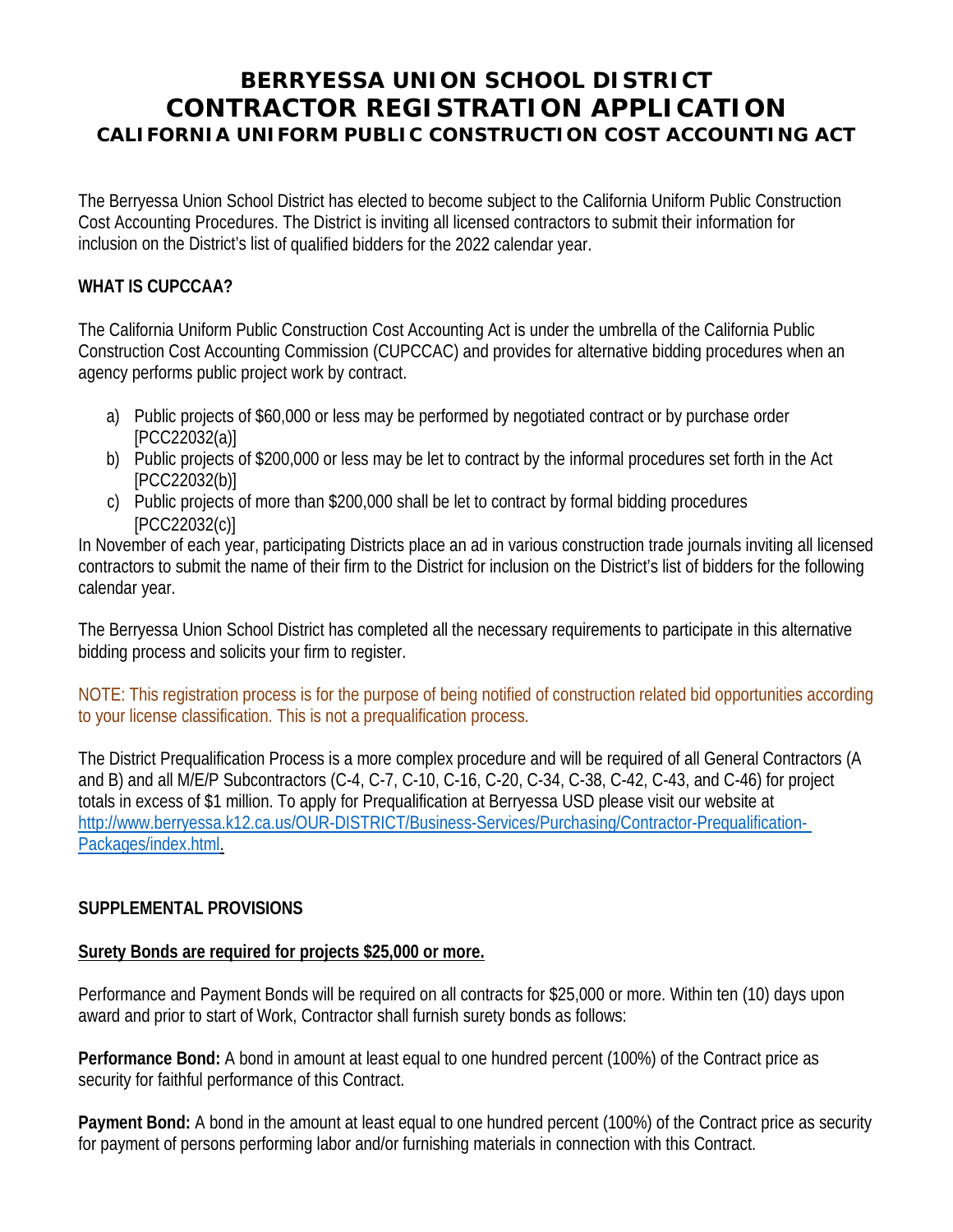# **BERRYESSA UNION SCHOOL DISTRICT CONTRACTOR REGISTRATION APPLICATION CALIFORNIA UNIFORM PUBLIC CONSTRUCTION COST ACCOUNTING ACT**

The Berryessa Union School District has elected to become subject to the California Uniform Public Construction Cost Accounting Procedures. The District is inviting all licensed contractors to submit their information for inclusion on the District's list of qualified bidders for the 2022 calendar year.

#### **WHAT IS CUPCCAA?**

The California Uniform Public Construction Cost Accounting Act is under the umbrella of the California Public Construction Cost Accounting Commission (CUPCCAC) and provides for alternative bidding procedures when an agency performs public project work by contract.

- a) Public projects of \$60,000 or less may be performed by negotiated contract or by purchase order [PCC22032(a)]
- b) Public projects of \$200,000 or less may be let to contract by the informal procedures set forth in the Act [PCC22032(b)]
- c) Public projects of more than \$200,000 shall be let to contract by formal bidding procedures [PCC22032(c)]

In November of each year, participating Districts place an ad in various construction trade journals inviting all licensed contractors to submit the name of their firm to the District for inclusion on the District's list of bidders for the following calendar year.

The Berryessa Union School District has completed all the necessary requirements to participate in this alternative bidding process and solicits your firm to register.

NOTE: This registration process is for the purpose of being notified of construction related bid opportunities according to your license classification. This is not a prequalification process.

The District Prequalification Process is a more complex procedure and will be required of all General Contractors (A and B) and all M/E/P Subcontractors (C-4, C-7, C-10, C-16, C-20, C-34, C-38, C-42, C-43, and C-46) for project totals in excess of \$1 million. To apply for Prequalification at Berryessa USD please visit our website at [http://www.berryessa.k12.ca.us/OUR-DISTRICT/Business-Services/Purchasing/Contractor-Prequalification-](http://www.berryessa.k12.ca.us/OUR-DISTRICT/Business-Services/Purchasing/Contractor-Prequalification-Packages/index.html)[Packages/index.html.](http://www.berryessa.k12.ca.us/OUR-DISTRICT/Business-Services/Purchasing/Contractor-Prequalification-Packages/index.html)

### **SUPPLEMENTAL PROVISIONS**

#### **Surety Bonds are required for projects \$25,000 or more.**

Performance and Payment Bonds will be required on all contracts for \$25,000 or more. Within ten (10) days upon award and prior to start of Work, Contractor shall furnish surety bonds as follows:

**Performance Bond:** A bond in amount at least equal to one hundred percent (100%) of the Contract price as security for faithful performance of this Contract.

**Payment Bond:** A bond in the amount at least equal to one hundred percent (100%) of the Contract price as security for payment of persons performing labor and/or furnishing materials in connection with this Contract.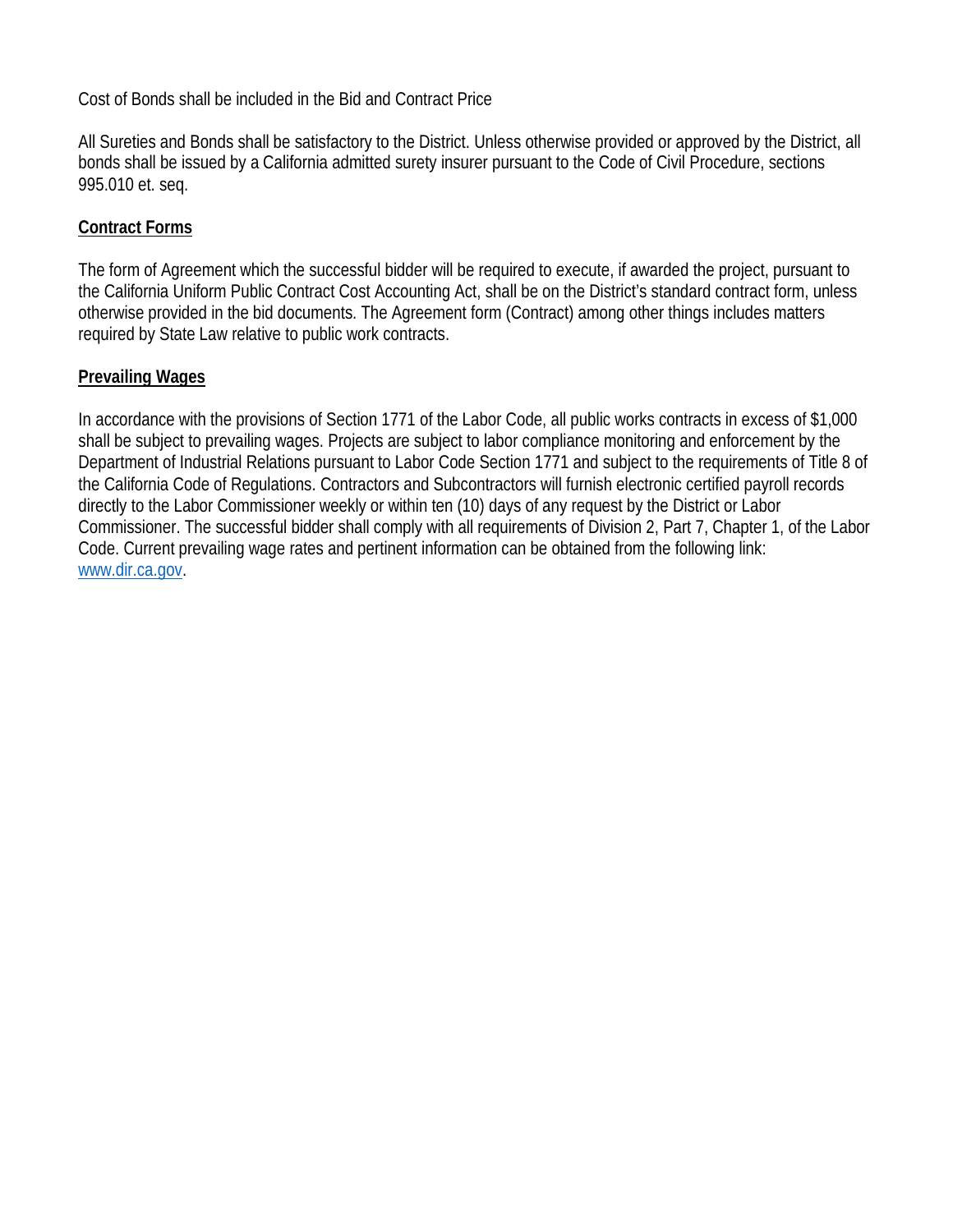Cost of Bonds shall be included in the Bid and Contract Price

All Sureties and Bonds shall be satisfactory to the District. Unless otherwise provided or approved by the District, all bonds shall be issued by a California admitted surety insurer pursuant to the Code of Civil Procedure, sections 995.010 et. seq.

### **Contract Forms**

The form of Agreement which the successful bidder will be required to execute, if awarded the project, pursuant to the California Uniform Public Contract Cost Accounting Act, shall be on the District's standard contract form, unless otherwise provided in the bid documents. The Agreement form (Contract) among other things includes matters required by State Law relative to public work contracts.

#### **Prevailing Wages**

In accordance with the provisions of Section 1771 of the Labor Code, all public works contracts in excess of \$1,000 shall be subject to prevailing wages. Projects are subject to labor compliance monitoring and enforcement by the Department of Industrial Relations pursuant to Labor Code Section 1771 and subject to the requirements of Title 8 of the California Code of Regulations. Contractors and Subcontractors will furnish electronic certified payroll records directly to the Labor Commissioner weekly or within ten (10) days of any request by the District or Labor Commissioner. The successful bidder shall comply with all requirements of Division 2, Part 7, Chapter 1, of the Labor Code. Current prevailing wage rates and pertinent information can be obtained from the following link: [www.dir.ca.gov.](http://www.dir.ca.gov/)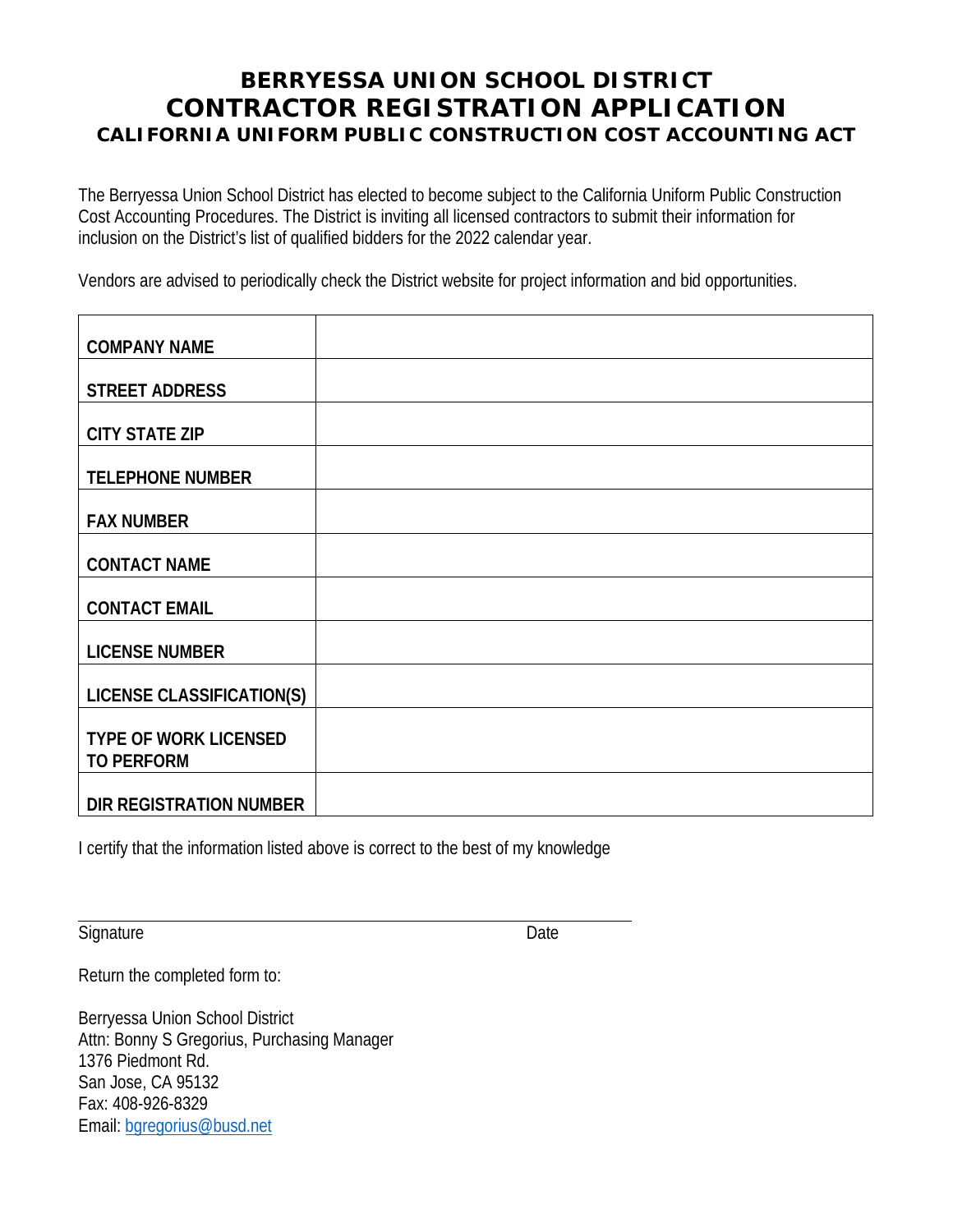## **BERRYESSA UNION SCHOOL DISTRICT CONTRACTOR REGISTRATION APPLICATION CALIFORNIA UNIFORM PUBLIC CONSTRUCTION COST ACCOUNTING ACT**

The Berryessa Union School District has elected to become subject to the California Uniform Public Construction Cost Accounting Procedures. The District is inviting all licensed contractors to submit their information for inclusion on the District's list of qualified bidders for the 2022 calendar year.

Vendors are advised to periodically check the District website for project information and bid opportunities.

| <b>COMPANY NAME</b>                               |  |
|---------------------------------------------------|--|
| <b>STREET ADDRESS</b>                             |  |
| <b>CITY STATE ZIP</b>                             |  |
| <b>TELEPHONE NUMBER</b>                           |  |
| <b>FAX NUMBER</b>                                 |  |
| <b>CONTACT NAME</b>                               |  |
| <b>CONTACT EMAIL</b>                              |  |
| <b>LICENSE NUMBER</b>                             |  |
| <b>LICENSE CLASSIFICATION(S)</b>                  |  |
| <b>TYPE OF WORK LICENSED</b><br><b>TO PERFORM</b> |  |
| DIR REGISTRATION NUMBER                           |  |

I certify that the information listed above is correct to the best of my knowledge

Signature Date

Return the completed form to:

Berryessa Union School District Attn: Bonny S Gregorius, Purchasing Manager 1376 Piedmont Rd. San Jose, CA 95132 Fax: 408-926-8329 Email: [bgregorius@busd.net](mailto:bgregorius@busd.net)